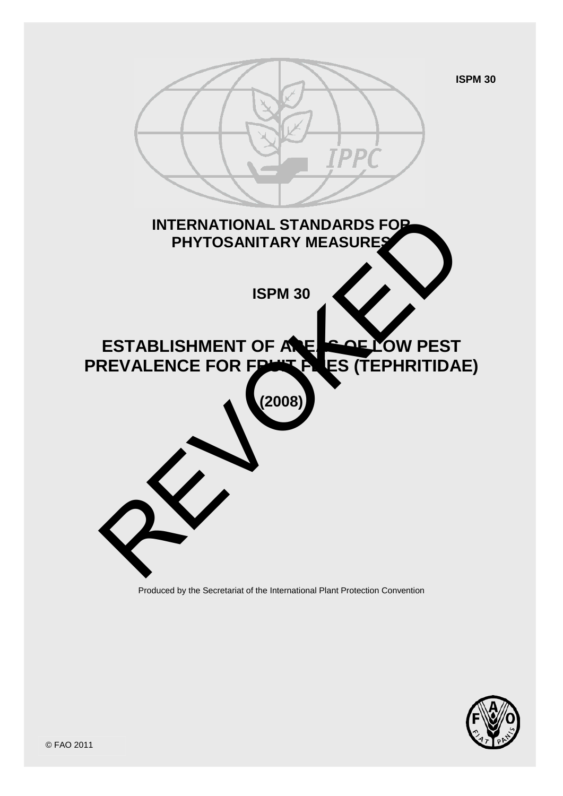

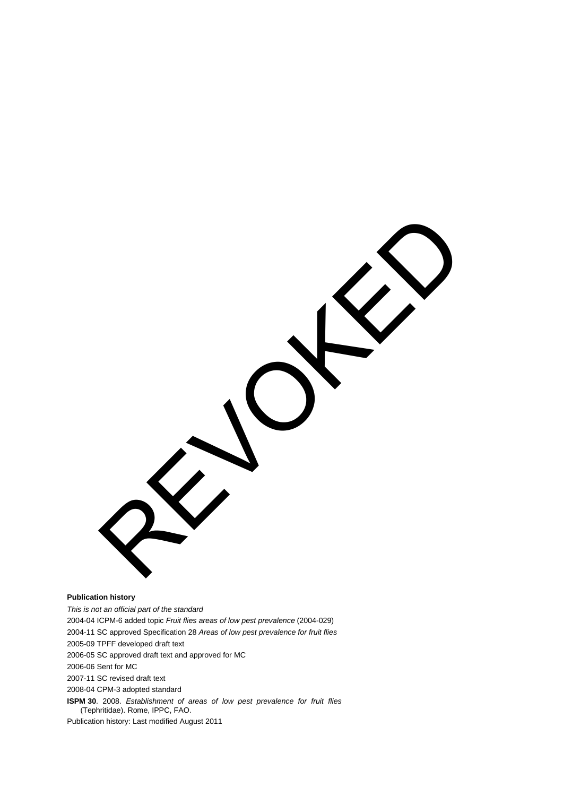**Publication history** *This is not an official part of the standard* 2004-04 ICPM-6 added topic *Fruit flies areas of low pest prevalence* (2004-029) 2004-11 SC approved Specification 28 *Areas of low pest prevalence for fruit flies* REVOKED

2005-09 TPFF developed draft text

2006-05 SC approved draft text and approved for MC

2006-06 Sent for MC

2007-11 SC revised draft text

2008-04 CPM-3 adopted standard

**ISPM 30**. 2008. *Establishment of areas of low pest prevalence for fruit flies*  (Tephritidae). Rome, IPPC, FAO.

Publication history: Last modified August 2011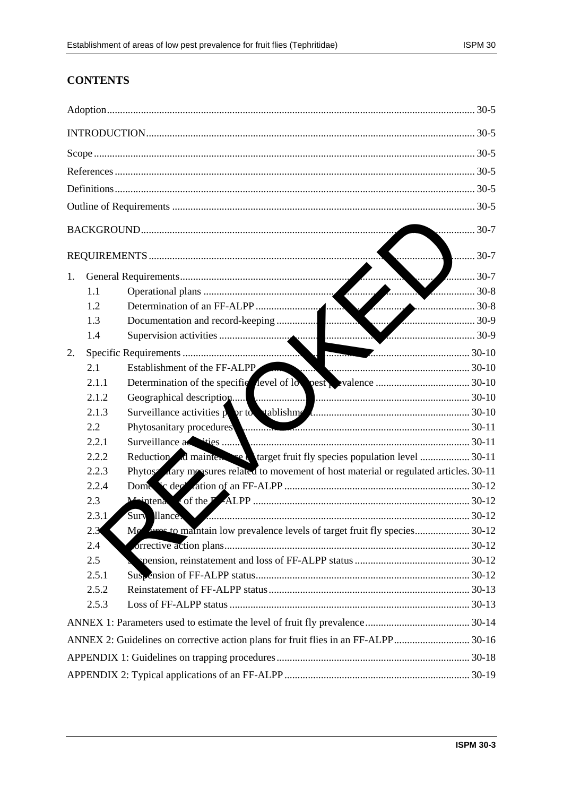# **CONTENTS**

| 30-7 |                                                                                    |                                                                                         |  |  |
|------|------------------------------------------------------------------------------------|-----------------------------------------------------------------------------------------|--|--|
| 30-7 |                                                                                    |                                                                                         |  |  |
| 1.   |                                                                                    | $\ldots \ldots \ldots \ldots \ldots \ldots$ 30-7                                        |  |  |
|      | 1.1                                                                                |                                                                                         |  |  |
|      | 1.2                                                                                |                                                                                         |  |  |
|      | 1.3                                                                                |                                                                                         |  |  |
|      | 1.4                                                                                |                                                                                         |  |  |
| 2.   |                                                                                    |                                                                                         |  |  |
|      | 2.1                                                                                | 30-10<br>Establishment of the FF-ALPP                                                   |  |  |
|      | 2.1.1                                                                              |                                                                                         |  |  |
|      | 2.1.2                                                                              |                                                                                         |  |  |
|      | 2.1.3                                                                              |                                                                                         |  |  |
|      | 2.2                                                                                | Phytosanitary procedures                                                                |  |  |
|      | 2.2.1                                                                              |                                                                                         |  |  |
|      | 2.2.2                                                                              | Reduction d mainter set target fruit fly species population level  30-11                |  |  |
|      | 2.2.3                                                                              | Phytose dary measures related to movement of host material or regulated articles. 30-11 |  |  |
|      | 2.2.4                                                                              |                                                                                         |  |  |
|      | 2.3                                                                                | Maintena                                                                                |  |  |
|      | 2.3.1                                                                              |                                                                                         |  |  |
|      | 2.3                                                                                | Me                                                                                      |  |  |
|      | 2.4                                                                                |                                                                                         |  |  |
|      | 2.5                                                                                |                                                                                         |  |  |
|      | 2.5.1                                                                              |                                                                                         |  |  |
|      | 2.5.2                                                                              |                                                                                         |  |  |
|      | 2.5.3                                                                              |                                                                                         |  |  |
|      |                                                                                    |                                                                                         |  |  |
|      | ANNEX 2: Guidelines on corrective action plans for fruit flies in an FF-ALPP 30-16 |                                                                                         |  |  |
|      |                                                                                    |                                                                                         |  |  |
|      |                                                                                    |                                                                                         |  |  |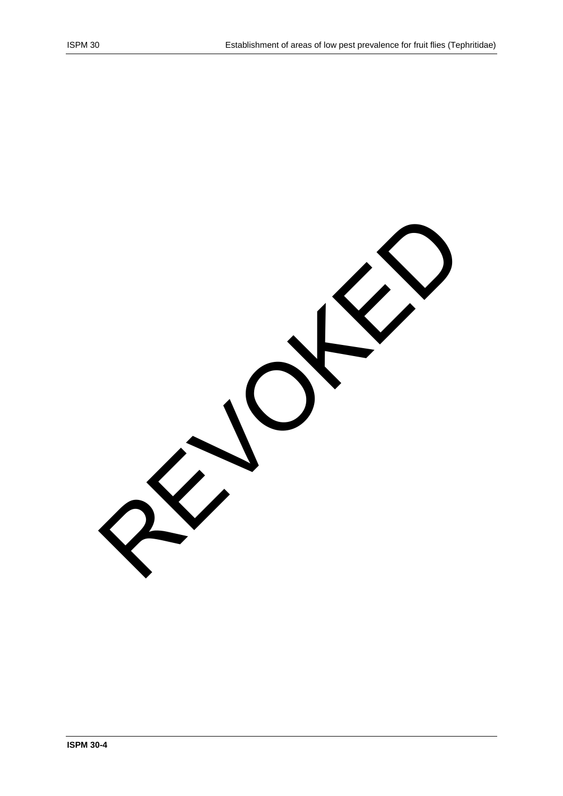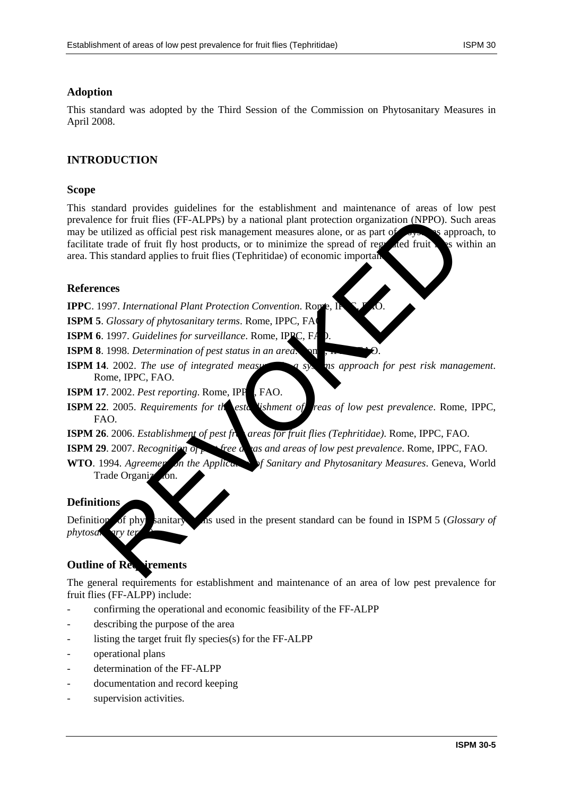## **Adoption**

This standard was adopted by the Third Session of the Commission on Phytosanitary Measures in April 2008.

# **INTRODUCTION**

#### **Scope**

This standard provides guidelines for the establishment and maintenance of areas of low pest prevalence for fruit flies (FF-ALPPs) by a national plant protection organization (NPPO). Such areas may be utilized as official pest risk management measures alone, or as part of a system is approach, to facilitate trade of fruit fly host products, or to minimize the spread of regulated fruit. It is within an area. This standard applies to fruit flies (Tephritidae) of economic importan note for fruit flies (FF-ALPPs) by a national plant protection organization (NPPO). Sue utilized as official pest risk management measures alone, or as part of the substantial Plant Protection Convention. Rows, the substan

#### **References**

**IPPC**. 1997. *International Plant Protection Convention*. Rom

- **ISPM 5**. *Glossary of phytosanitary terms*. Rome, IPPC, FA
- **ISPM 6**. 1997. *Guidelines for surveillance*. Rome, IPPC, F

**ISPM 8**. 1998. *Determination of pest status in an area*.

- **ISPM 14.** 2002. *The use of integrated measures asymptode pest risk management.* Rome, IPPC, FAO.
- **ISPM 17.** 2002. *Pest reporting*. Rome, IPP<sub>C</sub>, FAO.
- **ISPM 22.** 2005. *Requirements for the establishment of reas of low pest prevalence*. Rome, IPPC, FAO.

**ISPM 26**. 2006. *Establishment of pest free areas for fruit flies (Tephritidae)*. Rome, IPPC, FAO.

**ISPM 29**. 2007. *Recognition of perfect percedence areas of low pest prevalence*. Rome, IPPC, FAO.

**WTO**. 1994. *Agreement on the Application of Sanitary and Phytosanitary Measures.* Geneva, World Trade Organiz

#### **Definitions**

Definition of phytosanitary the used in the present standard can be found in ISPM 5 (*Glossary of phytosanivary t* 

# **Outline of Requirements**

The general requirements for establishment and maintenance of an area of low pest prevalence for fruit flies (FF-ALPP) include:

- confirming the operational and economic feasibility of the FF-ALPP
- describing the purpose of the area
- listing the target fruit fly species(s) for the  $FF-ALPP$
- operational plans
- determination of the FF-ALPP
- documentation and record keeping
- supervision activities.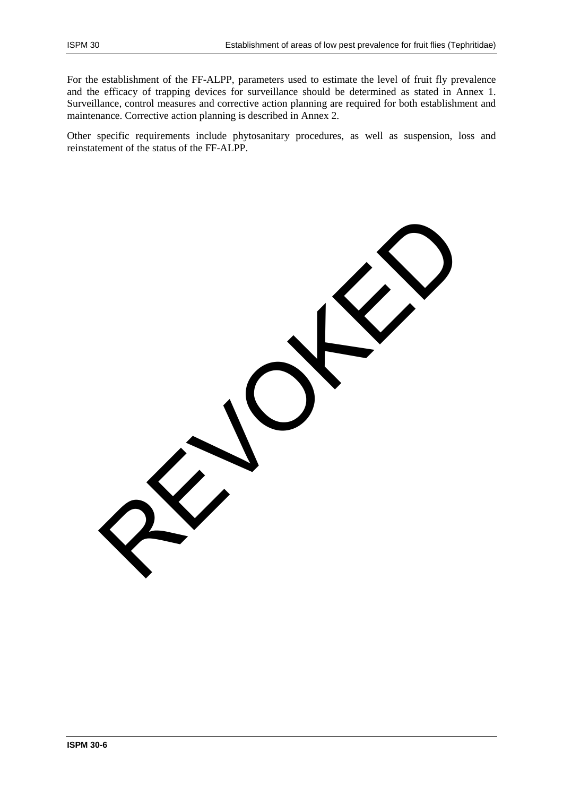For the establishment of the FF-ALPP, parameters used to estimate the level of fruit fly prevalence and the efficacy of trapping devices for surveillance should be determined as stated in Annex 1. Surveillance, control measures and corrective action planning are required for both establishment and maintenance. Corrective action planning is described in Annex 2.

Other specific requirements include phytosanitary procedures, as well as suspension, loss and reinstatement of the status of the FF-ALPP.

REVOKED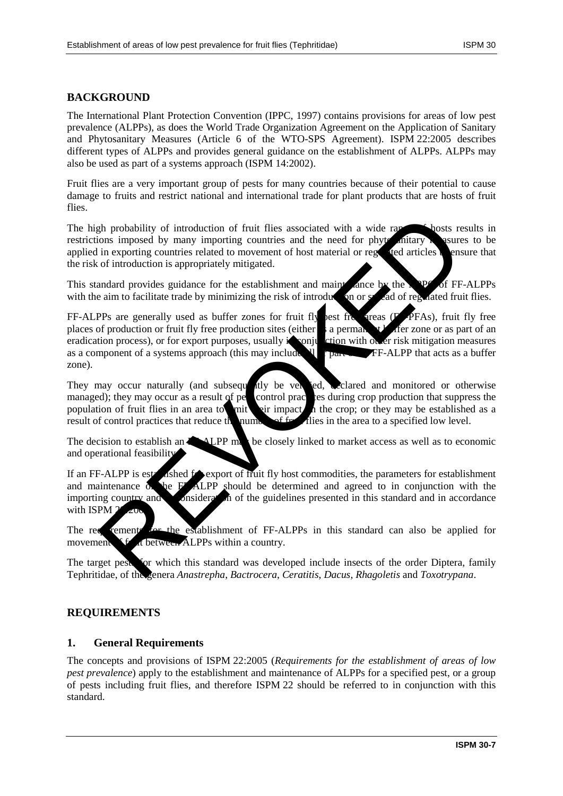# **BACKGROUND**

The International Plant Protection Convention (IPPC, 1997) contains provisions for areas of low pest prevalence (ALPPs), as does the World Trade Organization Agreement on the Application of Sanitary and Phytosanitary Measures (Article 6 of the WTO-SPS Agreement). ISPM 22:2005 describes different types of ALPPs and provides general guidance on the establishment of ALPPs. ALPPs may also be used as part of a systems approach (ISPM 14:2002).

Fruit flies are a very important group of pests for many countries because of their potential to cause damage to fruits and restrict national and international trade for plant products that are hosts of fruit flies.

The high probability of introduction of fruit flies associated with a wide range of hosts results in restrictions imposed by many importing countries and the need for phytosanitary measures to be applied in exporting countries related to movement of host material or regulated articles  $\blacksquare$  ensure that the risk of introduction is appropriately mitigated.

This standard provides guidance for the establishment and maint ance by the NPP of FF-ALPPs with the aim to facilitate trade by minimizing the risk of introduction or  $s$  and of regulated fruit flies.

FF-ALPPs are generally used as buffer zones for fruit fly best free areas ( $\overline{P}$ -PFAs), fruit fly free places of production or fruit fly free production sites (either a permanent buffer zone or as part of an eradication process), or for export purposes, usually in conjunction with other risk mitigation measures as a component of a systems approach (this may include  $\mathbf{Q}$  or part of FF-ALPP that acts as a buffer zone). th probability of introduction of fruit flies associated with a wide rapidary losts represent by many importing countries and the need for phyr antiaxy sure in exporting counters related to novement of host material or reg

They may occur naturally (and subsequently be verified, clared and monitored or otherwise managed); they may occur as a result of pet control practices during crop production that suppress the population of fruit flies in an area to mit impact  $\alpha$  the crop; or they may be established as a result of control practices that reduce the number of  $f_{\rm F}$ . This in the area to a specified low level.

The decision to establish an  $\mathbb{Z}$  -ALPP may be closely linked to market access as well as to economic and operational feasibility.

If an FF-ALPP is established for export of fruit fly host commodities, the parameters for establishment and maintenance of the FF-ALPP should be determined and agreed to in conjunction with the importing country and  $\bullet$  onsideration of the guidelines presented in this standard and in accordance with ISPM

The requirements for the establishment of FF-ALPPs in this standard can also be applied for movement  $f$  a between ALPPs within a country.

The target pests for which this standard was developed include insects of the order Diptera, family Tephritidae, of the genera *Anastrepha*, *Bactrocera*, *Ceratitis*, *Dacus*, *Rhagoletis* and *Toxotrypana*.

## **REQUIREMENTS**

## **1. General Requirements**

The concepts and provisions of ISPM 22:2005 (*Requirements for the establishment of areas of low pest prevalence*) apply to the establishment and maintenance of ALPPs for a specified pest, or a group of pests including fruit flies, and therefore ISPM 22 should be referred to in conjunction with this standard.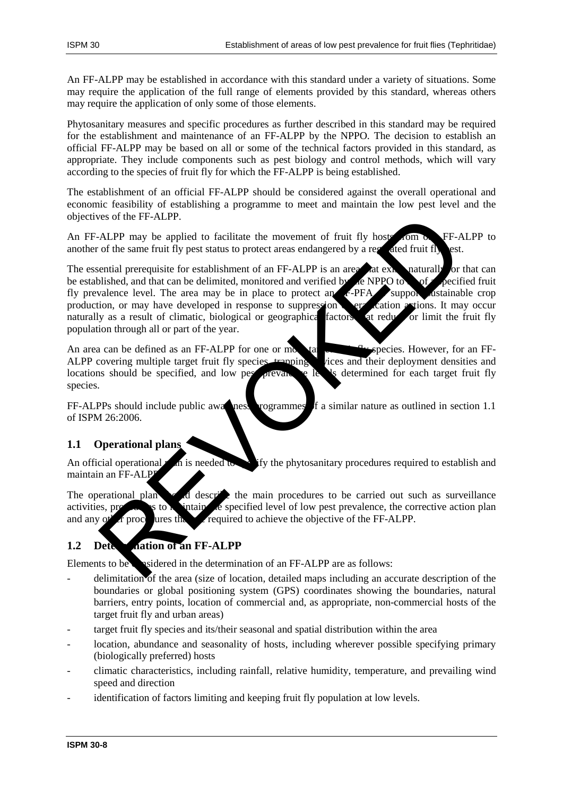An FF-ALPP may be established in accordance with this standard under a variety of situations. Some may require the application of the full range of elements provided by this standard, whereas others may require the application of only some of those elements.

Phytosanitary measures and specific procedures as further described in this standard may be required for the establishment and maintenance of an FF-ALPP by the NPPO. The decision to establish an official FF-ALPP may be based on all or some of the technical factors provided in this standard, as appropriate. They include components such as pest biology and control methods, which will vary according to the species of fruit fly for which the FF-ALPP is being established.

The establishment of an official FF-ALPP should be considered against the overall operational and economic feasibility of establishing a programme to meet and maintain the low pest level and the objectives of the FF-ALPP.

An FF-ALPP may be applied to facilitate the movement of fruit fly hosts from one FF-ALPP to another of the same fruit fly pest status to protect areas endangered by a regulated fruit fly est.

The essential prerequisite for establishment of an FF-ALPP is an area at existent naturally or that can be established, and that can be delimited, monitored and verified by the NPPO to be of a specified fruit fly prevalence level. The area may be in place to protect an  $F-$ PFA support attainable crop production, or may have developed in response to suppression or era cation actions. It may occur naturally as a result of climatic, biological or geographical factors at reduce or limit the fruit fly population through all or part of the year. The state of the FF-ALPP.<br>
ALPP may be applied to facilitate the movement of fruit fly host contract the state of the same fruit fly bost<br>
of the same fruit fly pest status to protect areas endangered by a resulted fruit f

An area can be defined as an FF-ALPP for one or more target fruit fly species. However, for an FF-ALPP covering multiple target fruit fly species trapping ALPP covering multiple target fruit fly species, trapping locations should be specified, and low pest prevalence levels determined for each target fruit fly species.

FF-ALPPs should include public awareness programmes of a similar nature as outlined in section 1.1 of ISPM 26:2006.

# **1.1 Operational plans**

An official operational plan is needed to specify the phytosanitary procedures required to establish and maintain an FF-ALP

The operational plan showld describe the main procedures to be carried out such as surveillance activities, procedures to matrix the specified level of low pest prevalence, the corrective action plan and any  $\sigma^*$  are procedures that are required to achieve the objective of the FF-ALPP.

# **1.2 Determination of an FF-ALPP**

Elements to be considered in the determination of an FF-ALPP are as follows:

- delimitation of the area (size of location, detailed maps including an accurate description of the boundaries or global positioning system (GPS) coordinates showing the boundaries, natural barriers, entry points, location of commercial and, as appropriate, non-commercial hosts of the target fruit fly and urban areas)
- target fruit fly species and its/their seasonal and spatial distribution within the area
- location, abundance and seasonality of hosts, including wherever possible specifying primary (biologically preferred) hosts
- climatic characteristics, including rainfall, relative humidity, temperature, and prevailing wind speed and direction
- identification of factors limiting and keeping fruit fly population at low levels.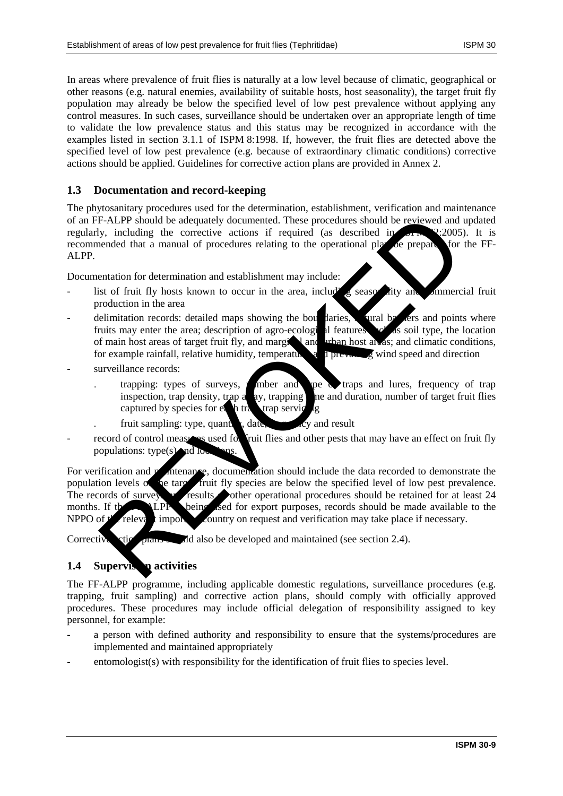In areas where prevalence of fruit flies is naturally at a low level because of climatic, geographical or other reasons (e.g. natural enemies, availability of suitable hosts, host seasonality), the target fruit fly population may already be below the specified level of low pest prevalence without applying any control measures. In such cases, surveillance should be undertaken over an appropriate length of time to validate the low prevalence status and this status may be recognized in accordance with the examples listed in section 3.1.1 of ISPM 8:1998. If, however, the fruit flies are detected above the specified level of low pest prevalence (e.g. because of extraordinary climatic conditions) corrective actions should be applied. Guidelines for corrective action plans are provided in Annex 2.

#### **1.3 Documentation and record-keeping**

The phytosanitary procedures used for the determination, establishment, verification and maintenance of an FF-ALPP should be adequately documented. These procedures should be reviewed and updated regularly, including the corrective actions if required (as described in  $\mathbb{R}^n \times 2.2005$ ). It is recommended that a manual of procedures relating to the operational plan be prepared for the FF-ALPP.

Documentation for determination and establishment may include:

- list of fruit fly hosts known to occur in the area, including seasonality and commercial fruit production in the area
- delimitation records: detailed maps showing the boundaries, invalid by the same points where fruits may enter the area; description of agro-ecological features such as soil type, the location of main host areas of target fruit fly, and marginal and urban host areas; and climatic conditions, for example rainfall, relative humidity, temperature, and previous given speed and direction
- surveillance records:
	- trapping: types of surveys,  $\mu$  mber and type of traps and lures, frequency of trap inspection, trap density, trap a  $\alpha$ y, trapping ne and duration, number of target fruit flies captured by species for  $e_a$  h transferring lg
	- fruit sampling: type, quantity, date, frequency and result
- record of control measures used for fruit flies and other pests that may have an effect on fruit fly populations: type(s) and locations.

For verification and matter angles and matter at a should include the data recorded to demonstrate the population levels of the target fruit fly species are below the specified level of low pest prevalence.<br>The records of survey the results of other operational procedures should be retained for at least 24  $T$ results  $\rightarrow$  other operational procedures should be retained for at least 24 months. If the FF-**ALPP** being used for export purposes, records should be made available to the NPPO of  $f'$  relevant importing country on request and verification may take place if necessary. F-ALPP should be adequately documented. These procedures should be reviewed and<br>y, including the corrective actions if required (as described in<br>the preparable and the corrective actions if required (as described in<br>experi

Corrective ction plans and also be developed and maintained (see section 2.4).

## **1.4 Supervison activities**

The FF-ALPP programme, including applicable domestic regulations, surveillance procedures (e.g. trapping, fruit sampling) and corrective action plans, should comply with officially approved procedures. These procedures may include official delegation of responsibility assigned to key personnel, for example:

- a person with defined authority and responsibility to ensure that the systems/procedures are implemented and maintained appropriately
- entomologist(s) with responsibility for the identification of fruit flies to species level.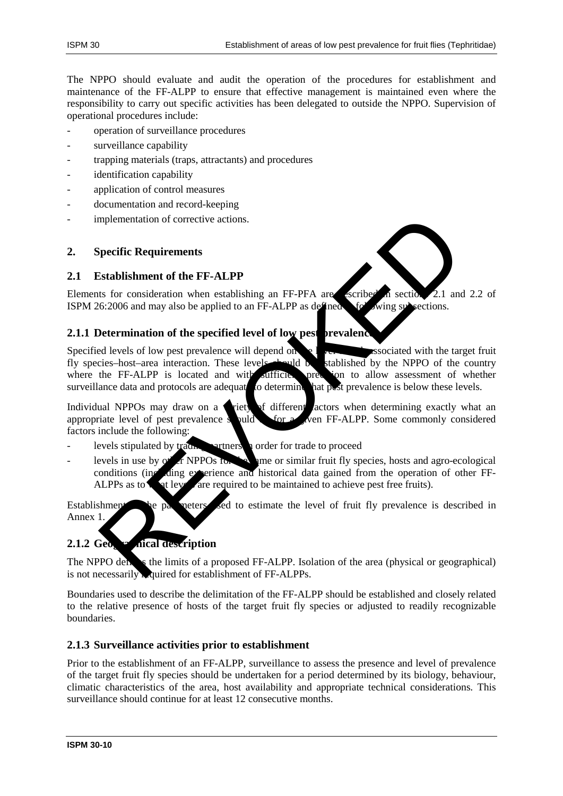The NPPO should evaluate and audit the operation of the procedures for establishment and maintenance of the FF-ALPP to ensure that effective management is maintained even where the responsibility to carry out specific activities has been delegated to outside the NPPO. Supervision of operational procedures include:

- operation of surveillance procedures
- surveillance capability
- trapping materials (traps, attractants) and procedures
- identification capability
- application of control measures
- documentation and record-keeping
- implementation of corrective actions.

## **2. Specific Requirements**

#### **2.1 Establishment of the FF-ALPP**

Elements for consideration when establishing an FF-PFA are escribed in section 2.1 and 2.2 of ISPM 26:2006 and may also be applied to an FF-ALPP as defined  $\bullet$  following subsections.

## **2.1.1 Determination of the specified level of low pest prevalent**

Specified levels of low pest prevalence will depend on  $\leq$  level  $\leq$  respectively associated with the target fruit fly species–host–area interaction. These levels should be stablished by the NPPO of the country where the FF-ALPP is located and with sufficite precision to allow assessment of whether where the FF-ALPP is located and with sufficies precision to allow assessment of whether surveillance data and protocols are adequated of determine hat post prevalence is below these levels. surveillance data and protocols are adequate to determine mplementation of corrective actions.<br>
Setablishment of the FF-ALPP<br>
ts for consideration when establishing an FF-PFA are setting an settion.<br>
2.1 and<br>
for 2006 and may also be applied to an FF-ALPP as defines with setting

Individual NPPOs may draw on a **v**riet of different *actors* when determining exactly what an appropriate level of pest prevalence s puld  $\bullet$  for a *s* ven FF-ALPP. Some commonly considered factors include the following:

- levels stipulated by trading partners in order for trade to proceed
- levels in use by  $\alpha'$  or NPPOs for the same or similar fruit fly species, hosts and agro-ecological conditions (including experience and historical data gained from the operation of other FF-ALPPs as to what levels are required to be maintained to achieve pest free fruits).

Establishment be parameters sed to estimate the level of fruit fly prevalence is described in Annex 1.

# **2.1.2 Geographical description**

The NPPO defines the limits of a proposed FF-ALPP. Isolation of the area (physical or geographical) is not necessarily required for establishment of FF-ALPPs.

Boundaries used to describe the delimitation of the FF-ALPP should be established and closely related to the relative presence of hosts of the target fruit fly species or adjusted to readily recognizable boundaries.

## **2.1.3 Surveillance activities prior to establishment**

Prior to the establishment of an FF-ALPP, surveillance to assess the presence and level of prevalence of the target fruit fly species should be undertaken for a period determined by its biology, behaviour, climatic characteristics of the area, host availability and appropriate technical considerations. This surveillance should continue for at least 12 consecutive months.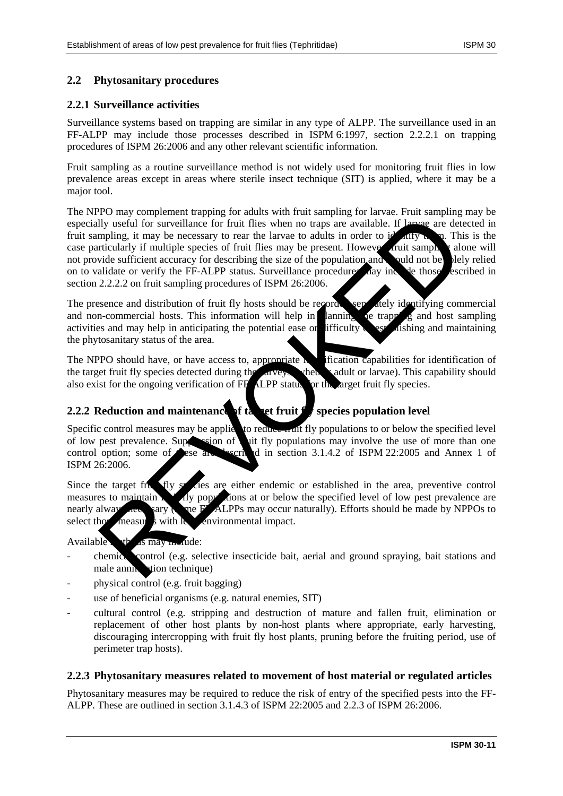#### **2.2 Phytosanitary procedures**

#### **2.2.1 Surveillance activities**

Surveillance systems based on trapping are similar in any type of ALPP. The surveillance used in an FF-ALPP may include those processes described in ISPM 6:1997, section 2.2.2.1 on trapping procedures of ISPM 26:2006 and any other relevant scientific information.

Fruit sampling as a routine surveillance method is not widely used for monitoring fruit flies in low prevalence areas except in areas where sterile insect technique (SIT) is applied, where it may be a major tool.

The NPPO may complement trapping for adults with fruit sampling for larvae. Fruit sampling may be especially useful for surveillance for fruit flies when no traps are available. If larvae are detected in fruit sampling, it may be necessary to rear the larvae to adults in order to identify them. This is the case particularly if multiple species of fruit flies may be present. However, truit sample, alone will case particularly if multiple species of fruit flies may be present. However, fruit sample  $\chi$  alone will not provide sufficient accuracy for describing the size of the population and solution be shown below on to validate or verify the FF-ALPP status. Surveillance procedures hay include those escribed in section 2.2.2.2 on fruit sampling procedures of ISPM 26:2006. For the transform dispute for details when must simply to the transform of the substitute of the street of the later of the later of the later of the later of the later of the later of the properties are determined in the

The presence and distribution of fruit fly hosts should be recorded separately identifying commercial and non-commercial hosts. This information will help in  $\lim_{n \to \infty} \log \frac{1}{n}$  and host sampling activities and may help in anticipating the potential ease or difficulty of establishing and maintaining the phytosanitary status of the area.

The NPPO should have, or have access to, appropriate  $\mathbf h$  ification capabilities for identification of the target fruit fly species detected during the surveys vhen sadult or larvae). This capability should also exist for the ongoing verification of FF<sup>-ALPP</sup> status for the arget fruit fly species.

## **2.2.2 Reduction and maintenance of table fluit fly species population level**

Specific control measures may be applied to reduce  $\frac{1}{\sqrt{1}}$  fly populations to or below the specified level of low pest prevalence. Suppose of  $\alpha$  it fly populations may involve the use of more than one control option; some of these are described in section 3.1.4.2 of ISPM 22:2005 and Annex 1 of ISPM 26:2006.

Since the target fruit  $\mathbf{f}$  fly species are either endemic or established in the area, preventive control measures to maintain  $\mathbf{f}$  fly populations at or below the specified level of low pest prevalence are nearly always necessary (some FF-ALPPs may occur naturally). Efforts should be made by NPPOs to select those measures with  $\log$  environmental impact.

Available  $\Phi$  is may include:

- chemical control (e.g. selective insecticide bait, aerial and ground spraying, bait stations and male annihilation technique)
- physical control (e.g. fruit bagging)
- use of beneficial organisms (e.g. natural enemies, SIT)
- cultural control (e.g. stripping and destruction of mature and fallen fruit, elimination or replacement of other host plants by non-host plants where appropriate, early harvesting, discouraging intercropping with fruit fly host plants, pruning before the fruiting period, use of perimeter trap hosts).

#### **2.2.3 Phytosanitary measures related to movement of host material or regulated articles**

Phytosanitary measures may be required to reduce the risk of entry of the specified pests into the FF-ALPP. These are outlined in section 3.1.4.3 of ISPM 22:2005 and 2.2.3 of ISPM 26:2006.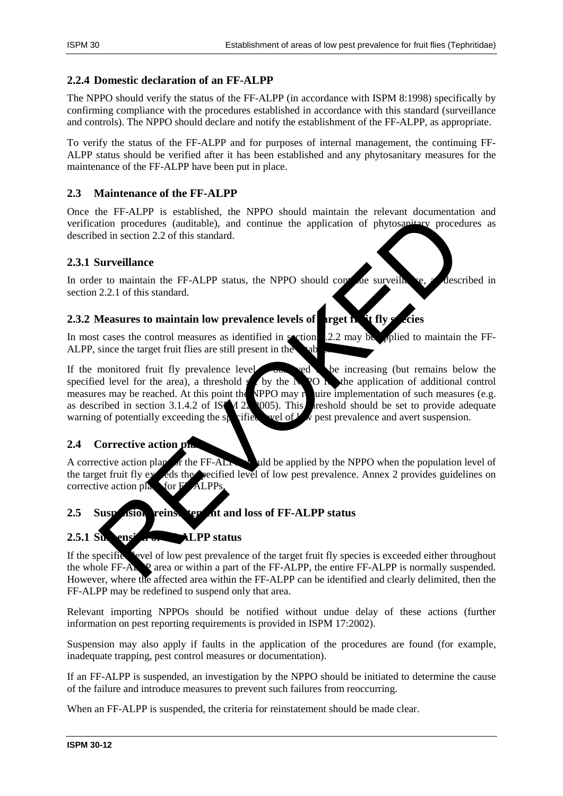#### **2.2.4 Domestic declaration of an FF-ALPP**

The NPPO should verify the status of the FF-ALPP (in accordance with ISPM 8:1998) specifically by confirming compliance with the procedures established in accordance with this standard (surveillance and controls). The NPPO should declare and notify the establishment of the FF-ALPP, as appropriate.

To verify the status of the FF-ALPP and for purposes of internal management, the continuing FF-ALPP status should be verified after it has been established and any phytosanitary measures for the maintenance of the FF-ALPP have been put in place.

#### **2.3 Maintenance of the FF-ALPP**

Once the FF-ALPP is established, the NPPO should maintain the relevant documentation and verification procedures (auditable), and continue the application of phytosanitary procedures as described in section 2.2 of this standard.

## **2.3.1 Surveillance**

In order to maintain the FF-ALPP status, the NPPO should continue surveillance, as described in section 2.2.1 of this standard.

#### **2.3.2 Measures to maintain low prevalence levels of target in it fly**

In most cases the control measures as identified in section 2.2 may be polied to maintain the FF-ALPP, since the target fruit flies are still present in the

If the monitored fruit fly prevalence level  $\sim$  observed to be increasing (but remains below the specified level for the area), a threshold  $s$  by the NPO  $\overline{R}$  by the application of additional control measures may be reached. At this point the NPPO may require implementation of such measures (e.g. as described in section 3.1.4.2 of ISPM 22:2005). This reshold should be set to provide adequate warning of potentially exceeding the specified level of  $\mathcal{L}_{\mathcal{N}}$  pest prevalence and avert suspension. Textari Passarians, the Window of Passarian and Continue the distribution proceedures (auditable), and continue the application of phytosaptiemy proceed<br>al in section 2.2 of this standard.<br>
Surveillance<br>
The maintain the F

## **2.4 Corrective action plans**

A corrective action plan for the FF-ALPP should be applied by the NPPO when the population level of the target fruit fly exceeds the specified level of low pest prevalence. Annex 2 provides guidelines on corrective action plans for  $F$  ALPPs.

## 2.5 Suspension, reins term at and loss of FF-ALPP status

# **2.5.1 Suspension of FFF** status

If the specific level of low pest prevalence of the target fruit fly species is exceeded either throughout the whole FF-ALPP area or within a part of the FF-ALPP, the entire FF-ALPP is normally suspended. However, where the affected area within the FF-ALPP can be identified and clearly delimited, then the FF-ALPP may be redefined to suspend only that area.

Relevant importing NPPOs should be notified without undue delay of these actions (further information on pest reporting requirements is provided in ISPM 17:2002).

Suspension may also apply if faults in the application of the procedures are found (for example, inadequate trapping, pest control measures or documentation).

If an FF-ALPP is suspended, an investigation by the NPPO should be initiated to determine the cause of the failure and introduce measures to prevent such failures from reoccurring.

When an FF-ALPP is suspended, the criteria for reinstatement should be made clear.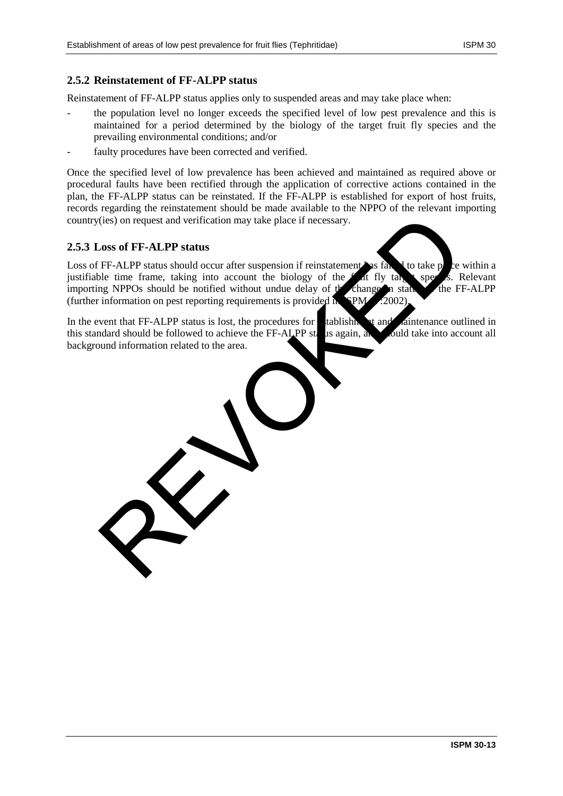## **2.5.2 Reinstatement of FF-ALPP status**

Reinstatement of FF-ALPP status applies only to suspended areas and may take place when:

- the population level no longer exceeds the specified level of low pest prevalence and this is maintained for a period determined by the biology of the target fruit fly species and the prevailing environmental conditions; and/or
- faulty procedures have been corrected and verified.

Once the specified level of low prevalence has been achieved and maintained as required above or procedural faults have been rectified through the application of corrective actions contained in the plan, the FF-ALPP status can be reinstated. If the FF-ALPP is established for export of host fruits, records regarding the reinstatement should be made available to the NPPO of the relevant importing country(ies) on request and verification may take place if necessary.

#### **2.5.3 Loss of FF-ALPP status**

Loss of FF-ALPP status should occur after suspension if reinstatement has failed to take place within a justifiable time frame, taking into account the biology of the flat fly take species. Relevant justifiable time frame, taking into account the biology of the  $f$  at fly target species. Relevant importing NPPOs should be notified without undue delay of the change in state the FF-ALPP importing NPPOs should be notified without undue delay of  $t$  change in stat (further information on pest reporting requirements is provided in  $\gamma$ PM 17:2002). (ies) on request and verification may take place if necessary.<br>
Coss of FF-ALPP status<br>
FF-ALPP status should occur after suspension if reinstatement as fall<br>
the time frame, taking into account the biology of the and the

In the event that FF-ALPP status is lost, the procedures for  $\blacksquare$  tablishment and maintenance outlined in this standard should be followed to achieve the FF-ALPP status again, and should take into account all background information related to the area.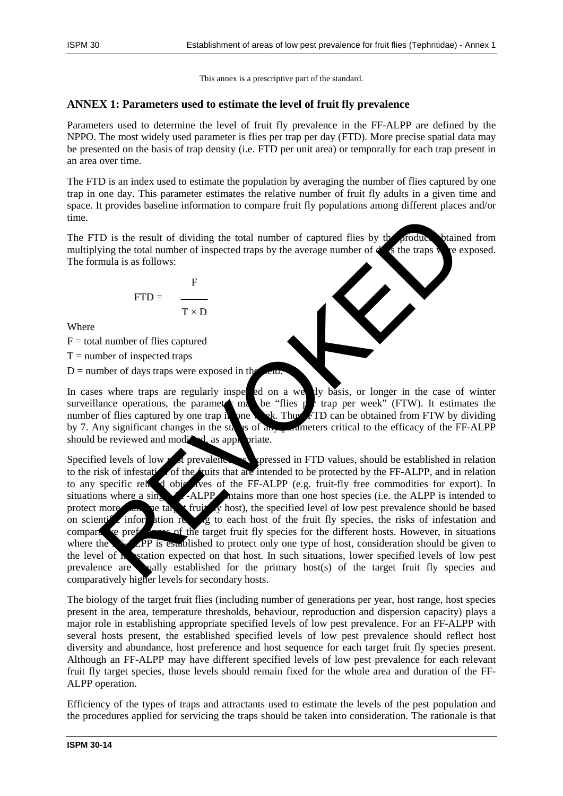This annex is a prescriptive part of the standard.

## **ANNEX 1: Parameters used to estimate the level of fruit fly prevalence**

Parameters used to determine the level of fruit fly prevalence in the FF-ALPP are defined by the NPPO. The most widely used parameter is flies per trap per day (FTD). More precise spatial data may be presented on the basis of trap density (i.e. FTD per unit area) or temporally for each trap present in an area over time.

The FTD is an index used to estimate the population by averaging the number of flies captured by one trap in one day. This parameter estimates the relative number of fruit fly adults in a given time and space. It provides baseline information to compare fruit fly populations among different places and/or time.

The FTD is the result of dividing the total number of captured flies by the product. It between the result of dividing the total number of captured flies by the product. multiplying the total number of inspected traps by the average number of  $d$  is the traps were exposed. The formula is as follows:

$$
FTD = \frac{F}{T \times D}
$$

Where

 $F =$  total number of flies captured

 $T =$  number of inspected traps

 $D =$  number of days traps were exposed in the  $D =$ 

In cases where traps are regularly inspected on a weekly basis, or longer in the case of winter surveillance operations, the parameter may be "flies  $p$  trap per week" (FTW). It estimates the number of flies captured by one trap in one week. Thus,  $FTD$  can be obtained from FTW by dividing by 7. Any significant changes in the status of  $a_n$ , parameters critical to the efficacy of the FF-ALPP should be reviewed and modified, as appropriate.

Specified levels of low  $p$  st prevalence, as expressed in FTD values, should be established in relation to the risk of infestation of the fruits that are intended to be protected by the FF-ALPP, and in relation to any specific related objectives of the FF-ALPP (e.g. fruit-fly free commodities for export). In situations where a single F-ALPP ntains more than one host species (i.e. the ALPP is intended to protect more target than  $\mathbf{r}$  fruit  $\mathbf{r}$  host), the specified level of low pest prevalence should be based on scientification relation relation relation and the fruit fly species, the risks of infestation and comparative preferences of the target fruit fly species for the different hosts. However, in situations where the  $\sum$  APP is established to protect only one type of host, consideration should be given to the level of **infestation** expected on that host. In such situations, lower specified levels of low pest prevalence are ually established for the primary host(s) of the target fruit fly species and comparatively higher levels for secondary hosts. To is the result of dividing the total number of captured flies by the fraction<br>
wing the total number of inspected traps by the average number of a<br>
mula is as follows:<br>
FID =  $\frac{1}{T \times D}$ <br>
<br>
<br>
<br>
<br>
<br>
<br>
<br>
<br>
<br>
<br>
<br>
<br>
<br>
<br>
<br>

The biology of the target fruit flies (including number of generations per year, host range, host species present in the area, temperature thresholds, behaviour, reproduction and dispersion capacity) plays a major role in establishing appropriate specified levels of low pest prevalence. For an FF-ALPP with several hosts present, the established specified levels of low pest prevalence should reflect host diversity and abundance, host preference and host sequence for each target fruit fly species present. Although an FF-ALPP may have different specified levels of low pest prevalence for each relevant fruit fly target species, those levels should remain fixed for the whole area and duration of the FF-ALPP operation.

Efficiency of the types of traps and attractants used to estimate the levels of the pest population and the procedures applied for servicing the traps should be taken into consideration. The rationale is that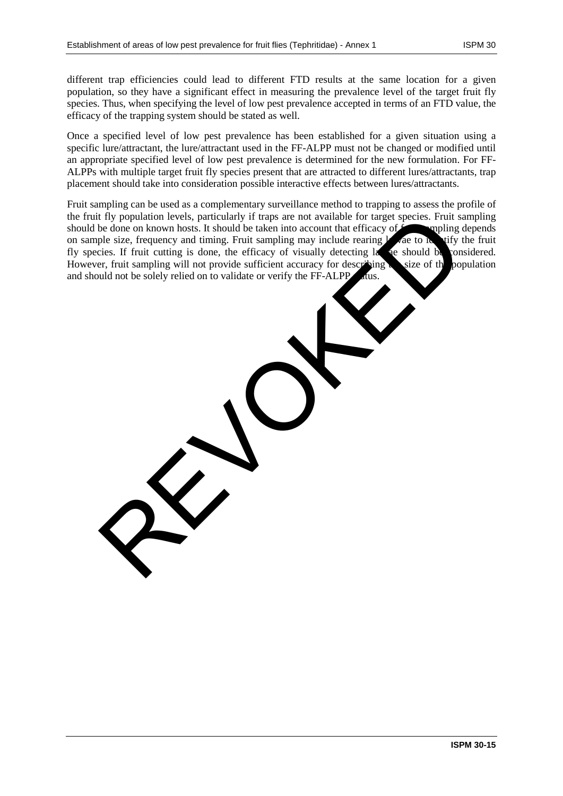different trap efficiencies could lead to different FTD results at the same location for a given population, so they have a significant effect in measuring the prevalence level of the target fruit fly species. Thus, when specifying the level of low pest prevalence accepted in terms of an FTD value, the efficacy of the trapping system should be stated as well.

Once a specified level of low pest prevalence has been established for a given situation using a specific lure/attractant, the lure/attractant used in the FF-ALPP must not be changed or modified until an appropriate specified level of low pest prevalence is determined for the new formulation. For FF-ALPPs with multiple target fruit fly species present that are attracted to different lures/attractants, trap placement should take into consideration possible interactive effects between lures/attractants.

Fruit sampling can be used as a complementary surveillance method to trapping to assess the profile of the fruit fly population levels, particularly if traps are not available for target species. Fruit sampling should be done on known hosts. It should be taken into account that efficacy of  $f$  multing depends on sample size, frequency and timing. Fruit sampling may include rearing  $\frac{1}{2}$  are to identify the fruit fly species. If fruit cutting is done, the efficacy of visually detecting last are should be considered.<br>However, fruit sampling will not provide sufficient accuracy for describing However, fruit sampling will not provide sufficient accuracy for describing and should not be solely relied on to validate or verify the FF-ALPP r fly population levels, particularly if traps are not available for target species. Fruit simpling<br>the done on known hosts. It should be taken into account that efficacy of<br>ple size, frequency and timing. Fruit sampling m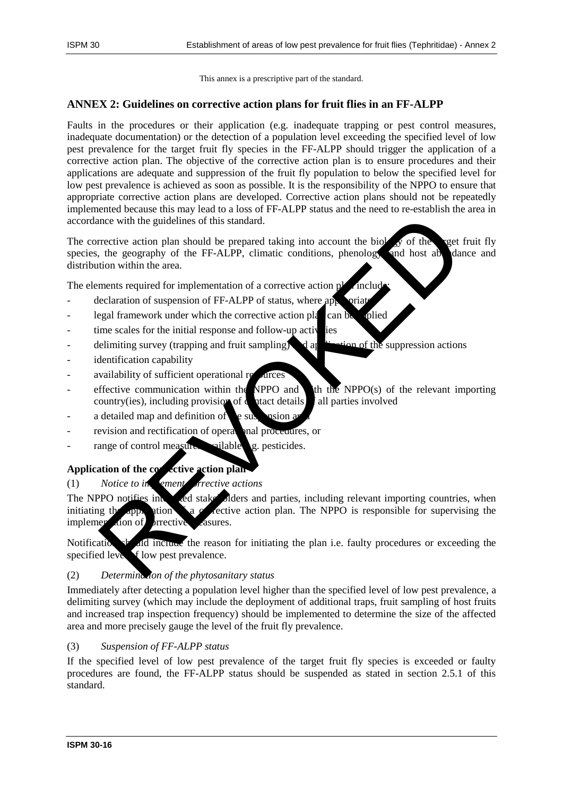This annex is a prescriptive part of the standard.

## **ANNEX 2: Guidelines on corrective action plans for fruit flies in an FF-ALPP**

Faults in the procedures or their application (e.g. inadequate trapping or pest control measures, inadequate documentation) or the detection of a population level exceeding the specified level of low pest prevalence for the target fruit fly species in the FF-ALPP should trigger the application of a corrective action plan. The objective of the corrective action plan is to ensure procedures and their applications are adequate and suppression of the fruit fly population to below the specified level for low pest prevalence is achieved as soon as possible. It is the responsibility of the NPPO to ensure that appropriate corrective action plans are developed. Corrective action plans should not be repeatedly implemented because this may lead to a loss of FF-ALPP status and the need to re-establish the area in accordance with the guidelines of this standard.

The corrective action plan should be prepared taking into account the biology of the target fruit fly species, the geography of the FF-ALPP, climatic conditions, phenology and host abundance and distribution within the area. mee with the guidelines of this standard.<br>
Trective action plan should be prepared taking into account the biology of the rest, the geography of the FF-ALPP, climatic conditions, phenology and host abe due to the geography

The elements required for implementation of a corrective action p

- declaration of suspension of FF-ALPP of status, where appropriate
- legal framework under which the corrective action plan can be applied
- time scales for the initial response and follow-up activities
- delimiting survey (trapping and fruit sampling) and  $\frac{1}{2}$  and  $\frac{1}{2}$  and  $\frac{1}{2}$  and  $\frac{1}{2}$  and  $\frac{1}{2}$  and  $\frac{1}{2}$  and  $\frac{1}{2}$  and  $\frac{1}{2}$  and  $\frac{1}{2}$  and  $\frac{1}{2}$  and  $\frac{1}{2}$  and  $\frac{1}{2}$  and
- identification capability
- availability of sufficient operational re
- effective communication within the NPPO and the NPPO(s) of the relevant importing country(ies), including provision of  $\alpha$  at details in all parties involved
- a detailed map and definition of  $\epsilon$  suspension area
- revision and rectification of operational procedures, or
- range of control measures vailable  $\alpha$ , pesticides.

## Application of the corrective action plan

#### (1) *Notice to in ement rective actions*

The NPPO notifies interest and stake olders and parties, including relevant importing countries, when initiating the application  $\sum a$  corrective action plan. The NPPO is responsible for supervising the implementation of prrective casures.

Notification should include the reason for initiating the plan i.e. faulty procedures or exceeding the specified level of low pest prevalence.

## (2) *Determination of the phytosanitary status*

Immediately after detecting a population level higher than the specified level of low pest prevalence, a delimiting survey (which may include the deployment of additional traps, fruit sampling of host fruits and increased trap inspection frequency) should be implemented to determine the size of the affected area and more precisely gauge the level of the fruit fly prevalence.

#### (3) *Suspension of FF-ALPP status*

If the specified level of low pest prevalence of the target fruit fly species is exceeded or faulty procedures are found, the FF-ALPP status should be suspended as stated in section 2.5.1 of this standard.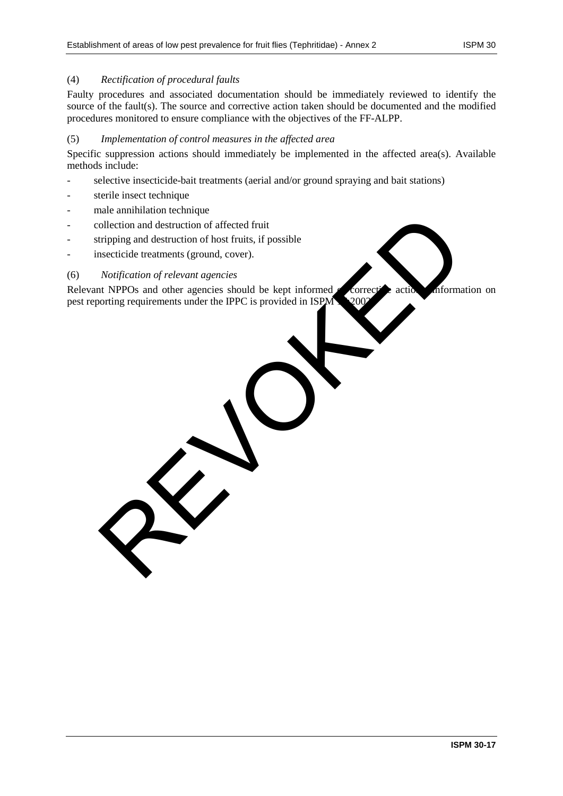#### (4) *Rectification of procedural faults*

Faulty procedures and associated documentation should be immediately reviewed to identify the source of the fault(s). The source and corrective action taken should be documented and the modified procedures monitored to ensure compliance with the objectives of the FF-ALPP.

#### (5) *Implementation of control measures in the affected area*

Specific suppression actions should immediately be implemented in the affected area(s). Available methods include:

- selective insecticide-bait treatments (aerial and/or ground spraying and bait stations)
- sterile insect technique
- male annihilation technique
- collection and destruction of affected fruit
- stripping and destruction of host fruits, if possible
- insecticide treatments (ground, cover).

#### (6) *Notification of relevant agencies*

Relevant NPPOs and other agencies should be kept informed  $\ell$  corrective actions. Information on pest reporting requirements under the IPPC is provided in ISPM 12:00 ollection and destruction of affected fruit<br>tripping and destruction of host fruits, if possible<br>associated treatments (ground, cover).<br>Notification of relevant agencies<br>Not a NPPOs and other agencies should be kept inform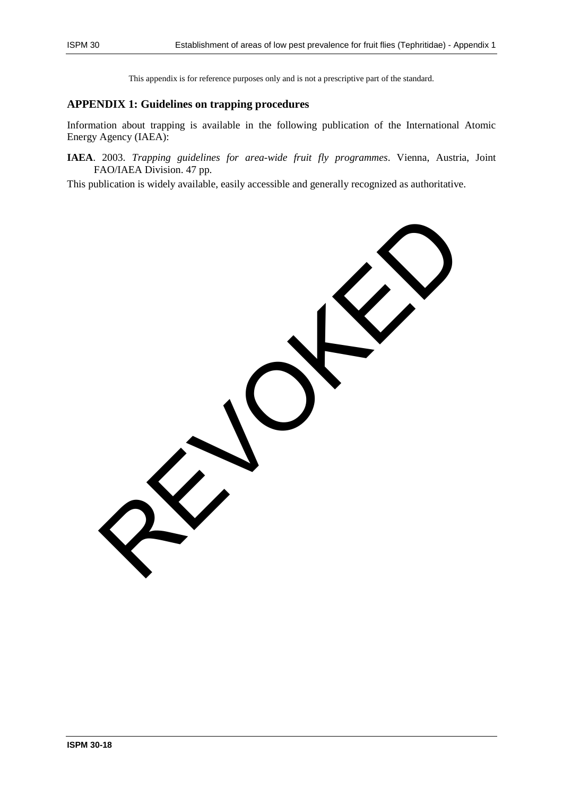This appendix is for reference purposes only and is not a prescriptive part of the standard.

## **APPENDIX 1: Guidelines on trapping procedures**

Information about trapping is available in the following publication of the International Atomic Energy Agency (IAEA):

**IAEA**. 2003. *Trapping guidelines for area-wide fruit fly programmes*. Vienna, Austria, Joint FAO/IAEA Division. 47 pp.

This publication is widely available, easily accessible and generally recognized as authoritative.

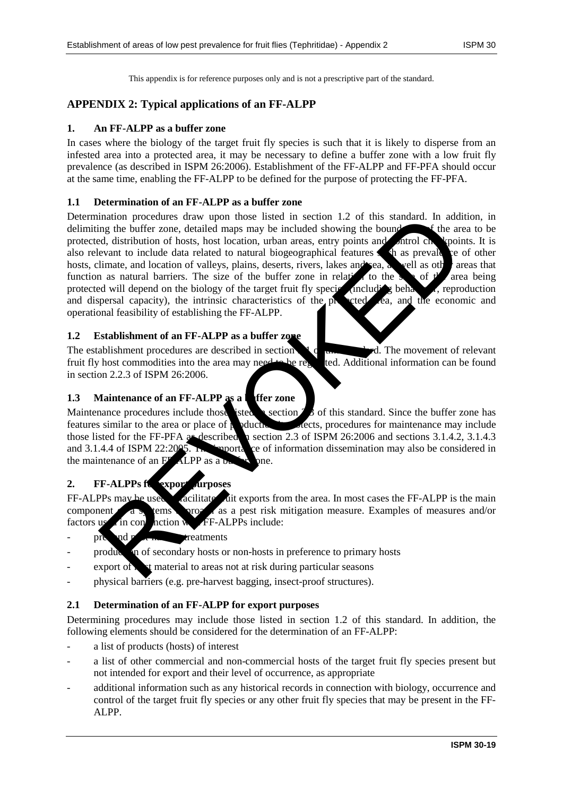This appendix is for reference purposes only and is not a prescriptive part of the standard.

# **APPENDIX 2: Typical applications of an FF-ALPP**

#### **1. An FF-ALPP as a buffer zone**

In cases where the biology of the target fruit fly species is such that it is likely to disperse from an infested area into a protected area, it may be necessary to define a buffer zone with a low fruit fly prevalence (as described in ISPM 26:2006). Establishment of the FF-ALPP and FF-PFA should occur at the same time, enabling the FF-ALPP to be defined for the purpose of protecting the FF-PFA.

#### **1.1 Determination of an FF-ALPP as a buffer zone**

Determination procedures draw upon those listed in section 1.2 of this standard. In addition, in delimiting the buffer zone, detailed maps may be included showing the bound  $\bullet$  f the area to be protected, distribution of hosts, host location, urban areas, entry points and control checkpoints. It is also relevant to include data related to natural biogeographical features  $\Box$  as prevalence of other hosts, climate, and location of valleys, plains, deserts, rivers, lakes and sea, as well as other areas that function as natural barriers. The size of the buffer zone in relation to the size of the area being protected will depend on the biology of the target fruit fly species (including behavior, reproduction and dispersal capacity), the intrinsic characteristics of the protected ea, and the economic and operational feasibility of establishing the FF-ALPP. ination procedures draw upon those listed in section 1.2 of this standard. In additional<br>ring the buffer zone, detailed maps may be included showing the bound<br>event to include date related to natural bingeographical featur

#### **1.2 Establishment of an FF-ALPP as a buffer zone**

The establishment procedures are described in section  $\mathcal{A}_{\mathcal{C}}$  of the movement of relevant fruit fly host commodities into the area may need to be regulated. Additional information can be found in section 2.2.3 of ISPM 26:2006.

#### **1.3** Maintenance of an FF-ALPP as a **defect zone**

Maintenance procedures include those isted is section  $\beta$  of this standard. Since the buffer zone has features similar to the area or place of poductive states, procedures for maintenance may include pductive similar to the area of procedures for maintenance may include those listed for the FF-PFA as described in section 2.3 of ISPM 26:2006 and sections 3.1.4.2, 3.1.4.3 and 3.1.4.4 of ISPM 22:2005. The importance of information dissemination may also be considered in the maintenance of an  $F<sub>F</sub>$ -ALPP as a  $b<sub>g</sub>$  and  $c<sub>g</sub>$  are.

#### 2. FF-ALPPs for export *purposes*

FF-ALPPs may be used a callitate for facilitate from the area. In most cases the FF-ALPP is the main component of a systems and a system as a pest risk mitigation measure. Examples of measures and/or factors used in conjunction with FF-ALPPs include:

- pre- and post-harvest treatments
- production of secondary hosts or non-hosts in preference to primary hosts
- $\epsilon$  export of  $\lambda$  at material to areas not at risk during particular seasons
- physical barriers (e.g. pre-harvest bagging, insect-proof structures).

#### **2.1 Determination of an FF-ALPP for export purposes**

Determining procedures may include those listed in section 1.2 of this standard. In addition, the following elements should be considered for the determination of an FF-ALPP:

- a list of products (hosts) of interest
- a list of other commercial and non-commercial hosts of the target fruit fly species present but not intended for export and their level of occurrence, as appropriate
- additional information such as any historical records in connection with biology, occurrence and control of the target fruit fly species or any other fruit fly species that may be present in the FF-ALPP.